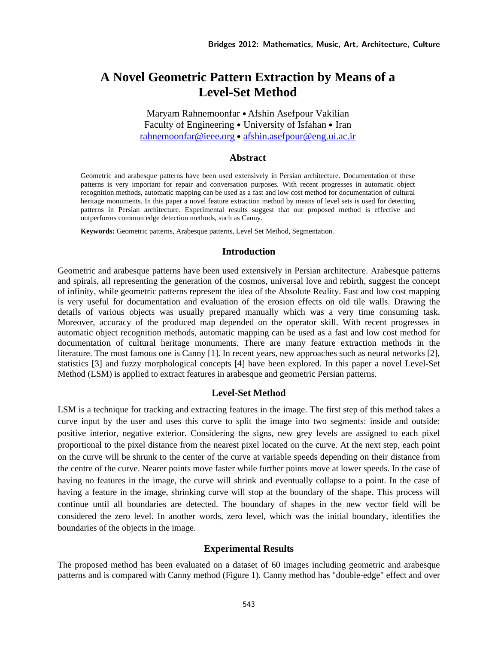# **A Novel Geometric Pattern Extraction by Means of a Level-Set Method**

Maryam Rahnemoonfar • Afshin Asefpour Vakilian Faculty of Engineering • University of Isfahan • Iran rahnemoonfar@ieee.org • afshin.asefpour@eng.ui.ac.ir

# **Abstract**

Geometric and arabesque patterns have been used extensively in Persian architecture. Documentation of these patterns is very important for repair and conversation purposes. With recent progresses in automatic object recognition methods, automatic mapping can be used as a fast and low cost method for documentation of cultural heritage monuments. In this paper a novel feature extraction method by means of level sets is used for detecting patterns in Persian architecture. Experimental results suggest that our proposed method is effective and outperforms common edge detection methods, such as Canny.

**Keywords:** Geometric patterns, Arabesque patterns, Level Set Method, Segmentation.

# **Introduction**

Geometric and arabesque patterns have been used extensively in Persian architecture. Arabesque patterns and spirals, all representing the generation of the cosmos, universal love and rebirth, suggest the concept of infinity, while geometric patterns represent the idea of the Absolute Reality. Fast and low cost mapping is very useful for documentation and evaluation of the erosion effects on old tile walls. Drawing the details of various objects was usually prepared manually which was a very time consuming task. Moreover, accuracy of the produced map depended on the operator skill. With recent progresses in automatic object recognition methods, automatic mapping can be used as a fast and low cost method for documentation of cultural heritage monuments. There are many feature extraction methods in the literature. The most famous one is Canny [1]. In recent years, new approaches such as neural networks [2], statistics [3] and fuzzy morphological concepts [4] have been explored. In this paper a novel Level-Set Method (LSM) is applied to extract features in arabesque and geometric Persian patterns.

#### **Level-Set Method**

LSM is a technique for tracking and extracting features in the image. The first step of this method takes a curve input by the user and uses this curve to split the image into two segments: inside and outside: positive interior, negative exterior. Considering the signs, new grey levels are assigned to each pixel proportional to the pixel distance from the nearest pixel located on the curve. At the next step, each point on the curve will be shrunk to the center of the curve at variable speeds depending on their distance from the centre of the curve. Nearer points move faster while further points move at lower speeds. In the case of having no features in the image, the curve will shrink and eventually collapse to a point. In the case of having a feature in the image, shrinking curve will stop at the boundary of the shape. This process will continue until all boundaries are detected. The boundary of shapes in the new vector field will be considered the zero level. In another words, zero level, which was the initial boundary, identifies the boundaries of the objects in the image.

#### **Experimental Results**

The proposed method has been evaluated on a dataset of 60 images including geometric and arabesque patterns and is compared with Canny method (Figure 1). Canny method has "double-edge" effect and over